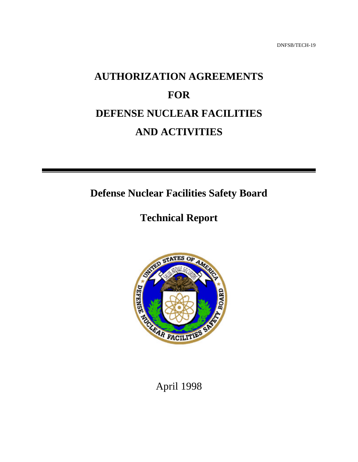DNFSB/TECH-19

# **AUTHORIZATION AGREEMENTS FOR DEFENSE NUCLEAR FACILITIES AND ACTIVITIES**

**Defense Nuclear Facilities Safety Board**

## **Technical Report**



April 1998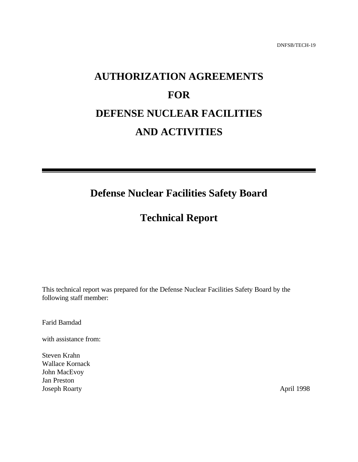# **AUTHORIZATION AGREEMENTS FOR DEFENSE NUCLEAR FACILITIES AND ACTIVITIES**

## **Defense Nuclear Facilities Safety Board**

## **Technical Report**

This technical report was prepared for the Defense Nuclear Facilities Safety Board by the following staff member:

Farid Bamdad

with assistance from:

Steven Krahn Wallace Kornack John MacEvoy Jan Preston Joseph RoartyApril 1998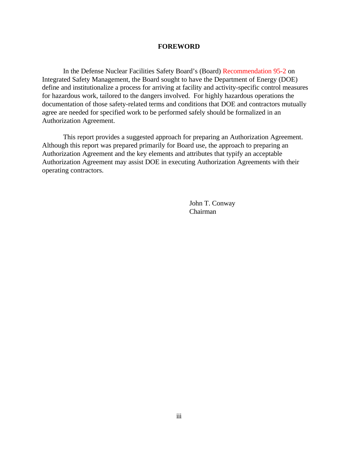#### **FOREWORD**

In the Defense Nuclear Facilities Safety Board's (Board) [Recommendation 95-2 o](http://www.dnfsb.gov/recommend/95-2.html)n Integrated Safety Management, the Board sought to have the Department of Energy (DOE) define and institutionalize a process for arriving at facility and activity-specific control measures for hazardous work, tailored to the dangers involved. For highly hazardous operations the documentation of those safety-related terms and conditions that DOE and contractors mutually agree are needed for specified work to be performed safely should be formalized in an Authorization Agreement.

This report provides a suggested approach for preparing an Authorization Agreement. Although this report was prepared primarily for Board use, the approach to preparing an Authorization Agreement and the key elements and attributes that typify an acceptable Authorization Agreement may assist DOE in executing Authorization Agreements with their operating contractors.

> John T. Conway Chairman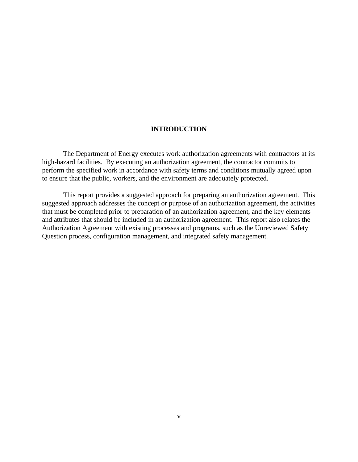#### **INTRODUCTION**

The Department of Energy executes work authorization agreements with contractors at its high-hazard facilities. By executing an authorization agreement, the contractor commits to perform the specified work in accordance with safety terms and conditions mutually agreed upon to ensure that the public, workers, and the environment are adequately protected.

This report provides a suggested approach for preparing an authorization agreement. This suggested approach addresses the concept or purpose of an authorization agreement, the activities that must be completed prior to preparation of an authorization agreement, and the key elements and attributes that should be included in an authorization agreement. This report also relates the Authorization Agreement with existing processes and programs, such as the Unreviewed Safety Question process, configuration management, and integrated safety management.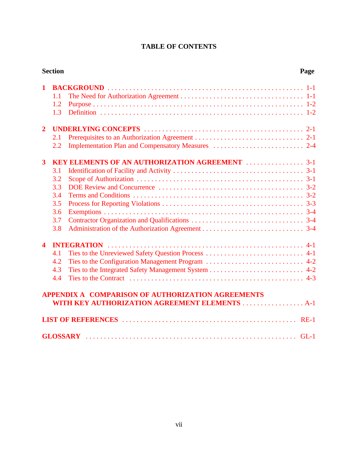### **TABLE OF CONTENTS**

| <b>Section</b>          |     |                                                          |  |  |
|-------------------------|-----|----------------------------------------------------------|--|--|
| $\mathbf{1}$            |     |                                                          |  |  |
|                         | 1.1 |                                                          |  |  |
|                         | 1.2 |                                                          |  |  |
|                         | 1.3 |                                                          |  |  |
|                         |     |                                                          |  |  |
| $\overline{2}$          |     |                                                          |  |  |
|                         | 2.1 |                                                          |  |  |
|                         | 2.2 |                                                          |  |  |
| $\overline{\mathbf{3}}$ |     |                                                          |  |  |
|                         | 3.1 |                                                          |  |  |
|                         | 3.2 |                                                          |  |  |
|                         | 3.3 |                                                          |  |  |
|                         | 3.4 |                                                          |  |  |
|                         | 3.5 |                                                          |  |  |
|                         | 3.6 |                                                          |  |  |
|                         | 3.7 |                                                          |  |  |
|                         | 3.8 |                                                          |  |  |
| $\overline{\mathbf{4}}$ |     |                                                          |  |  |
|                         | 4.1 |                                                          |  |  |
|                         | 4.2 |                                                          |  |  |
|                         | 4.3 |                                                          |  |  |
|                         | 4.4 |                                                          |  |  |
|                         |     |                                                          |  |  |
|                         |     | <b>APPENDIX A COMPARISON OF AUTHORIZATION AGREEMENTS</b> |  |  |
|                         |     |                                                          |  |  |
|                         |     |                                                          |  |  |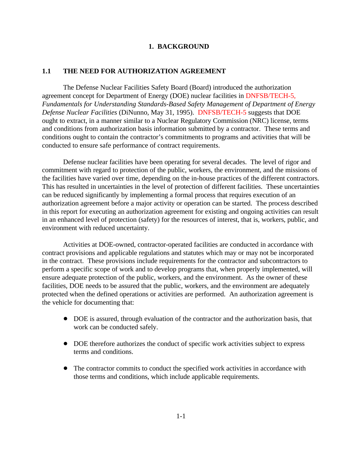#### **1. BACKGROUND**

#### <span id="page-5-0"></span>**1.1 THE NEED FOR AUTHORIZATION AGREEMENT**

The Defense Nuclear Facilities Safety Board (Board) introduced the authorization agreement concept for Department of Energy (DOE) nuclear facilities in [DNFSB/TECH-5,](http://www.dnfsb.gov/techrpts/tech-5.html) *Fundamentals for Understanding Standards-Based Safety Management of Department of Energy Defense Nuclear Facilities* (DiNunno, May 31, 1995). [DNFSB/TECH-5 s](http://www.dnfsb.gov/techrpts/tech-5.html)uggests that DOE ought to extract, in a manner similar to a Nuclear Regulatory Commission (NRC) license, terms and conditions from authorization basis information submitted by a contractor. These terms and conditions ought to contain the contractor's commitments to programs and activities that will be conducted to ensure safe performance of contract requirements.

Defense nuclear facilities have been operating for several decades. The level of rigor and commitment with regard to protection of the public, workers, the environment, and the missions of the facilities have varied over time, depending on the in-house practices of the different contractors. This has resulted in uncertainties in the level of protection of different facilities. These uncertainties can be reduced significantly by implementing a formal process that requires execution of an authorization agreement before a major activity or operation can be started. The process described in this report for executing an authorization agreement for existing and ongoing activities can result in an enhanced level of protection (safety) for the resources of interest, that is, workers, public, and environment with reduced uncertainty.

Activities at DOE-owned, contractor-operated facilities are conducted in accordance with contract provisions and applicable regulations and statutes which may or may not be incorporated in the contract. These provisions include requirements for the contractor and subcontractors to perform a specific scope of work and to develop programs that, when properly implemented, will ensure adequate protection of the public, workers, and the environment. As the owner of these facilities, DOE needs to be assured that the public, workers, and the environment are adequately protected when the defined operations or activities are performed. An authorization agreement is the vehicle for documenting that:

- DOE is assured, through evaluation of the contractor and the authorization basis, that work can be conducted safely.
- DOE therefore authorizes the conduct of specific work activities subject to express terms and conditions.
- The contractor commits to conduct the specified work activities in accordance with those terms and conditions, which include applicable requirements.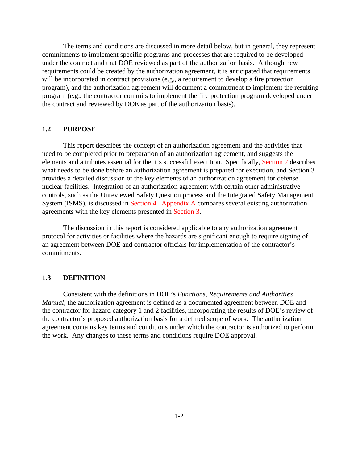<span id="page-6-0"></span>The terms and conditions are discussed in more detail below, but in general, they represent commitments to implement specific programs and processes that are required to be developed under the contract and that DOE reviewed as part of the authorization basis. Although new requirements could be created by the authorization agreement, it is anticipated that requirements will be incorporated in contract provisions (e.g., a requirement to develop a fire protection program), and the authorization agreement will document a commitment to implement the resulting program (e.g., the contractor commits to implement the fire protection program developed under the contract and reviewed by DOE as part of the authorization basis).

#### **1.2 PURPOSE**

<span id="page-6-1"></span>This report describes the concept of an authorization agreement and the activities that need to be completed prior to preparation of an authorization agreement, and suggests the elements and attributes essential for the it's successful execution. Specifically, Section 2 describes what needs to be done before an authorization agreement is prepared for execution, and Section 3 provides a detailed discussion of the key elements of an authorization agreement for defense nuclear facilities. Integration of an authorization agreement with certain other administrative controls, such as the Unreviewed Safety Question process and the Integrated Safety Management System (ISMS), is discussed in Section 4. Appendix A compares several existing authorization agreements with the key elements presented in Section 3.

The discussion in this report is considered applicable to any authorization agreement protocol for activities or facilities where the hazards are significant enough to require signing of an agreement between DOE and contractor officials for implementation of the contractor's commitments.

#### **1.3 DEFINITION**

Consistent with the definitions in DOE's *Functions, Requirements and Authorities Manual*, the authorization agreement is defined as a documented agreement between DOE and the contractor for hazard category 1 and 2 facilities, incorporating the results of DOE's review of the contractor's proposed authorization basis for a defined scope of work. The authorization agreement contains key terms and conditions under which the contractor is authorized to perform the work. Any changes to these terms and conditions require DOE approval.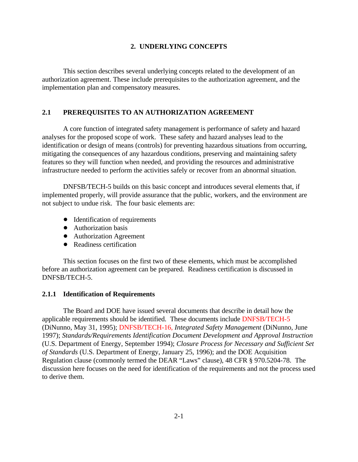#### **2. UNDERLYING CONCEPTS**

<span id="page-7-0"></span>This section describes several underlying concepts related to the development of an authorization agreement. These include prerequisites to the authorization agreement, and the implementation plan and compensatory measures.

#### **2.1 PREREQUISITES TO AN AUTHORIZATION AGREEMENT**

A core function of integrated safety management is performance of safety and hazard analyses for the proposed scope of work. These safety and hazard analyses lead to the identification or design of means (controls) for preventing hazardous situations from occurring, mitigating the consequences of any hazardous conditions, preserving and maintaining safety features so they will function when needed, and providing the resources and administrative infrastructure needed to perform the activities safely or recover from an abnormal situation.

<span id="page-7-1"></span>DNFSB/TECH-5 builds on this basic concept and introduces several elements that, if implemented properly, will provide assurance that the public, workers, and the environment are not subject to undue risk. The four basic elements are:

- Identification of requirements
- Authorization basis
- Authorization Agreement
- Readiness certification

This section focuses on the first two of these elements, which must be accomplished before an authorization agreement can be prepared. Readiness certification is discussed in DNFSB/TECH-5.

#### **2.1.1 Identification of Requirements**

The Board and DOE have issued several documents that describe in detail how the applicable requirements should be identified. These documents include [DNFSB/TECH-5](http://www.dnfsb.gov/techrpts/tech-5.html) (DiNunno, May 31, 1995); [DNFSB/TECH-16,](http://www.dnfsb.gov/techrpts/tech16.pdf) *Integrated Safety Management* (DiNunno, June 1997); *Standards/Requirements Identification Document Development and Approval Instruction* (U.S. Department of Energy, September 1994); *Closure Process for Necessary and Sufficient Set of Standards* (U.S. Department of Energy, January 25, 1996); and the DOE Acquisition Regulation clause (commonly termed the DEAR "Laws" clause), 48 CFR § 970.5204-78. The discussion here focuses on the need for identification of the requirements and not the process used to derive them.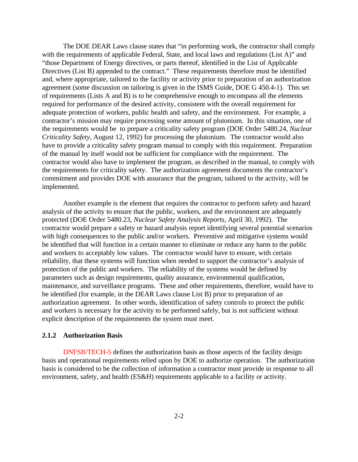The DOE DEAR Laws clause states that "in performing work, the contractor shall comply with the requirements of applicable Federal, State, and local laws and regulations (List A)" and "those Department of Energy directives, or parts thereof, identified in the List of Applicable Directives (List B) appended to the contract." These requirements therefore must be identified and, where appropriate, tailored to the facility or activity prior to preparation of an authorization agreement (some discussion on tailoring is given in the ISMS Guide, DOE G 450.4-1). This set of requirements (Lists A and B) is to be comprehensive enough to encompass all the elements required for performance of the desired activity, consistent with the overall requirement for adequate protection of workers, public health and safety, and the environment. For example, a contractor's mission may require processing some amount of plutonium. In this situation, one of the requirements would be to prepare a criticality safety program (DOE Order 5480.24, *Nuclear Criticality Safety*, August 12, 1992) for processing the plutonium. The contractor would also have to provide a criticality safety program manual to comply with this requirement. Preparation of the manual by itself would not be sufficient for compliance with the requirement. The contractor would also have to implement the program, as described in the manual, to comply with the requirements for criticality safety. The authorization agreement documents the contractor's commitment and provides DOE with assurance that the program, tailored to the activity, will be implemented.

Another example is the element that requires the contractor to perform safety and hazard analysis of the activity to ensure that the public, workers, and the environment are adequately protected (DOE Order 5480.23, *Nuclear Safety Analysis Reports*, April 30, 1992). The contractor would prepare a safety or hazard analysis report identifying several potential scenarios with high consequences to the public and/or workers. Preventive and mitigative systems would be identified that will function in a certain manner to eliminate or reduce any harm to the public and workers to acceptably low values. The contractor would have to ensure, with certain reliability, that these systems will function when needed to support the contractor's analysis of protection of the public and workers. The reliability of the systems would be defined by parameters such as design requirements, quality assurance, environmental qualification, maintenance, and surveillance programs. These and other requirements, therefore, would have to be identified (for example, in the DEAR Laws clause List B) prior to preparation of an authorization agreement. In other words, identification of safety controls to protect the public and workers is necessary for the activity to be performed safely, but is not sufficient without explicit description of the requirements the system must meet.

#### **2.1.2 Authorization Basis**

[DNFSB/TECH-5 d](http://www.dnfsb.gov/techrpts/tech-5.html)efines the authorization basis as those aspects of the facility design basis and operational requirements relied upon by DOE to authorize operation. The authorization basis is considered to be the collection of information a contractor must provide in response to all environment, safety, and health (ES&H) requirements applicable to a facility or activity.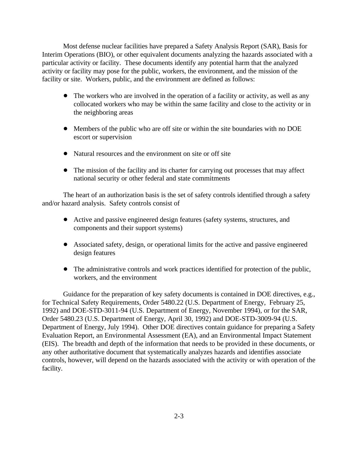Most defense nuclear facilities have prepared a Safety Analysis Report (SAR), Basis for Interim Operations (BIO), or other equivalent documents analyzing the hazards associated with a particular activity or facility. These documents identify any potential harm that the analyzed activity or facility may pose for the public, workers, the environment, and the mission of the facility or site. Workers, public, and the environment are defined as follows:

- The workers who are involved in the operation of a facility or activity, as well as any collocated workers who may be within the same facility and close to the activity or in the neighboring areas
- ! Members of the public who are off site or within the site boundaries with no DOE escort or supervision
- Natural resources and the environment on site or off site
- The mission of the facility and its charter for carrying out processes that may affect national security or other federal and state commitments

The heart of an authorization basis is the set of safety controls identified through a safety and/or hazard analysis. Safety controls consist of

- ! Active and passive engineered design features (safety systems, structures, and components and their support systems)
- ! Associated safety, design, or operational limits for the active and passive engineered design features
- ! The administrative controls and work practices identified for protection of the public, workers, and the environment

Guidance for the preparation of key safety documents is contained in DOE directives, e.g., for Technical Safety Requirements, Order 5480.22 (U.S. Department of Energy, February 25, 1992) and DOE-STD-3011-94 (U.S. Department of Energy, November 1994), or for the SAR, Order 5480.23 (U.S. Department of Energy, April 30, 1992) and DOE-STD-3009-94 (U.S. Department of Energy, July 1994). Other DOE directives contain guidance for preparing a Safety Evaluation Report, an Environmental Assessment (EA), and an Environmental Impact Statement (EIS). The breadth and depth of the information that needs to be provided in these documents, or any other authoritative document that systematically analyzes hazards and identifies associate controls, however, will depend on the hazards associated with the activity or with operation of the facility.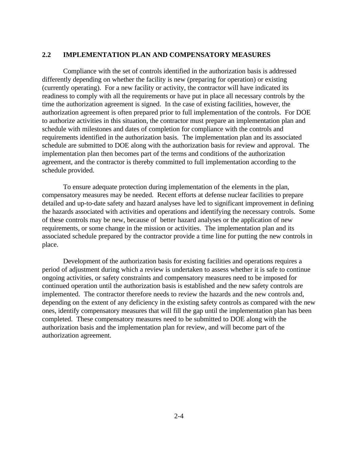#### **2.2 IMPLEMENTATION PLAN AND COMPENSATORY MEASURES**

Compliance with the set of controls identified in the authorization basis is addressed differently depending on whether the facility is new (preparing for operation) or existing (currently operating). For a new facility or activity, the contractor will have indicated its readiness to comply with all the requirements or have put in place all necessary controls by the time the authorization agreement is signed. In the case of existing facilities, however, the authorization agreement is often prepared prior to full implementation of the controls. For DOE to authorize activities in this situation, the contractor must prepare an implementation plan and schedule with milestones and dates of completion for compliance with the controls and requirements identified in the authorization basis. The implementation plan and its associated schedule are submitted to DOE along with the authorization basis for review and approval. The implementation plan then becomes part of the terms and conditions of the authorization agreement, and the contractor is thereby committed to full implementation according to the schedule provided.

To ensure adequate protection during implementation of the elements in the plan, compensatory measures may be needed. Recent efforts at defense nuclear facilities to prepare detailed and up-to-date safety and hazard analyses have led to significant improvement in defining the hazards associated with activities and operations and identifying the necessary controls. Some of these controls may be new, because of better hazard analyses or the application of new requirements, or some change in the mission or activities. The implementation plan and its associated schedule prepared by the contractor provide a time line for putting the new controls in place.

Development of the authorization basis for existing facilities and operations requires a period of adjustment during which a review is undertaken to assess whether it is safe to continue ongoing activities, or safety constraints and compensatory measures need to be imposed for continued operation until the authorization basis is established and the new safety controls are implemented. The contractor therefore needs to review the hazards and the new controls and, depending on the extent of any deficiency in the existing safety controls as compared with the new ones, identify compensatory measures that will fill the gap until the implementation plan has been completed. These compensatory measures need to be submitted to DOE along with the authorization basis and the implementation plan for review, and will become part of the authorization agreement.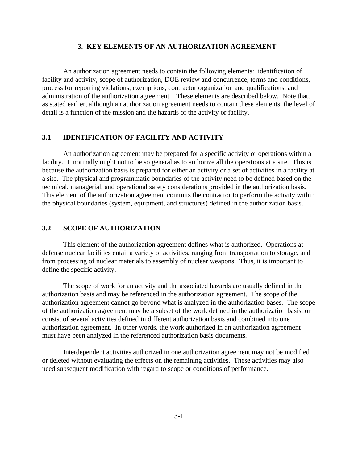#### **3. KEY ELEMENTS OF AN AUTHORIZATION AGREEMENT**

<span id="page-11-0"></span>An authorization agreement needs to contain the following elements: identification of facility and activity, scope of authorization, DOE review and concurrence, terms and conditions, process for reporting violations, exemptions, contractor organization and qualifications, and administration of the authorization agreement. These elements are described below. Note that, as stated earlier, although an authorization agreement needs to contain these elements, the level of detail is a function of the mission and the hazards of the activity or facility.

#### <span id="page-11-1"></span>**3.1 IDENTIFICATION OF FACILITY AND ACTIVITY**

<span id="page-11-2"></span>An authorization agreement may be prepared for a specific activity or operations within a facility. It normally ought not to be so general as to authorize all the operations at a site. This is because the authorization basis is prepared for either an activity or a set of activities in a facility at a site. The physical and programmatic boundaries of the activity need to be defined based on the technical, managerial, and operational safety considerations provided in the authorization basis. This element of the authorization agreement commits the contractor to perform the activity within the physical boundaries (system, equipment, and structures) defined in the authorization basis.

#### **3.2 SCOPE OF AUTHORIZATION**

This element of the authorization agreement defines what is authorized. Operations at defense nuclear facilities entail a variety of activities, ranging from transportation to storage, and from processing of nuclear materials to assembly of nuclear weapons. Thus, it is important to define the specific activity.

The scope of work for an activity and the associated hazards are usually defined in the authorization basis and may be referenced in the authorization agreement. The scope of the authorization agreement cannot go beyond what is analyzed in the authorization bases. The scope of the authorization agreement may be a subset of the work defined in the authorization basis, or consist of several activities defined in different authorization basis and combined into one authorization agreement. In other words, the work authorized in an authorization agreement must have been analyzed in the referenced authorization basis documents.

Interdependent activities authorized in one authorization agreement may not be modified or deleted without evaluating the effects on the remaining activities. These activities may also need subsequent modification with regard to scope or conditions of performance.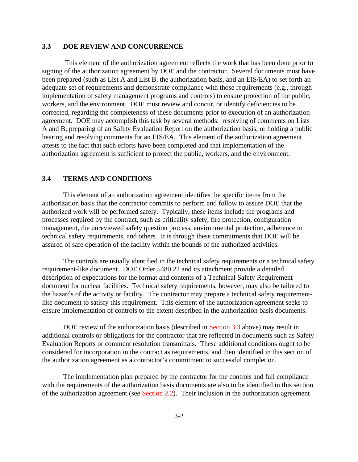#### <span id="page-12-0"></span>**3.3 DOE REVIEW AND CONCURRENCE**

 This element of the authorization agreement reflects the work that has been done prior to signing of the authorization agreement by DOE and the contractor. Several documents must have been prepared (such as List A and List B, the authorization basis, and an EIS/EA) to set forth an adequate set of requirements and demonstrate compliance with those requirements (e.g., through implementation of safety management programs and controls) to ensure protection of the public, workers, and the environment. DOE must review and concur, or identify deficiencies to be corrected, regarding the completeness of these documents prior to execution of an authorization agreement. DOE may accomplish this task by several methods: resolving of comments on Lists A and B, preparing of an Safety Evaluation Report on the authorization basis, or holding a public hearing and resolving comments for an EIS/EA. This element of the authorization agreement attests to the fact that such efforts have been completed and that implementation of the authorization agreement is sufficient to protect the public, workers, and the environment.

#### <span id="page-12-1"></span>**3.4 TERMS AND CONDITIONS**

This element of an authorization agreement identifies the specific items from the authorization basis that the contractor commits to perform and follow to assure DOE that the authorized work will be performed safely. Typically, these items include the programs and processes required by the contract, such as criticality safety, fire protection, configuration management, the unreviewed safety question process, environmental protection, adherence to technical safety requirements, and others. It is through these commitments that DOE will be assured of safe operation of the facility within the bounds of the authorized activities.

The controls are usually identified in the technical safety requirements or a technical safety requirement-like document. DOE Order 5480.22 and its attachment provide a detailed description of expectations for the format and contents of a Technical Safety Requirement document for nuclear facilities. Technical safety requirements, however, may also be tailored to the hazards of the activity or facility. The contractor may prepare a technical safety requirementlike document to satisfy this requirement. This element of the authorization agreement seeks to ensure implementation of controls to the extent described in the authorization basis documents.

DOE review of the authorization basis (described in Section 3.3 above) may result in additional controls or obligations for the contractor that are reflected in documents such as Safety Evaluation Reports or comment resolution transmittals. These additional conditions ought to be considered for incorporation in the contract as requirements, and then identified in this section of the authorization agreement as a contractor's commitment to successful completion.

The implementation plan prepared by the contractor for the controls and full compliance with the requirements of the authorization basis documents are also to be identified in this section of the authorization agreement (see Section 2.2). Their inclusion in the authorization agreement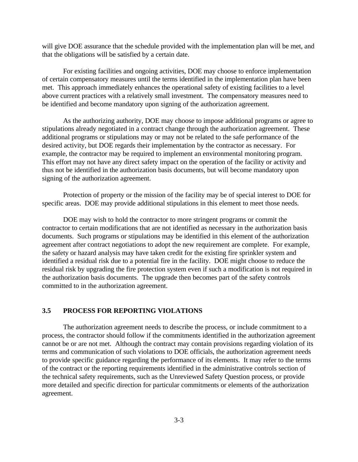will give DOE assurance that the schedule provided with the implementation plan will be met, and that the obligations will be satisfied by a certain date.

For existing facilities and ongoing activities, DOE may choose to enforce implementation of certain compensatory measures until the terms identified in the implementation plan have been met. This approach immediately enhances the operational safety of existing facilities to a level above current practices with a relatively small investment. The compensatory measures need to be identified and become mandatory upon signing of the authorization agreement.

As the authorizing authority, DOE may choose to impose additional programs or agree to stipulations already negotiated in a contract change through the authorization agreement. These additional programs or stipulations may or may not be related to the safe performance of the desired activity, but DOE regards their implementation by the contractor as necessary. For example, the contractor may be required to implement an environmental monitoring program. This effort may not have any direct safety impact on the operation of the facility or activity and thus not be identified in the authorization basis documents, but will become mandatory upon signing of the authorization agreement.

<span id="page-13-0"></span>Protection of property or the mission of the facility may be of special interest to DOE for specific areas. DOE may provide additional stipulations in this element to meet those needs.

DOE may wish to hold the contractor to more stringent programs or commit the contractor to certain modifications that are not identified as necessary in the authorization basis documents. Such programs or stipulations may be identified in this element of the authorization agreement after contract negotiations to adopt the new requirement are complete. For example, the safety or hazard analysis may have taken credit for the existing fire sprinkler system and identified a residual risk due to a potential fire in the facility. DOE might choose to reduce the residual risk by upgrading the fire protection system even if such a modification is not required in the authorization basis documents. The upgrade then becomes part of the safety controls committed to in the authorization agreement.

#### **3.5 PROCESS FOR REPORTING VIOLATIONS**

The authorization agreement needs to describe the process, or include commitment to a process, the contractor should follow if the commitments identified in the authorization agreement cannot be or are not met. Although the contract may contain provisions regarding violation of its terms and communication of such violations to DOE officials, the authorization agreement needs to provide specific guidance regarding the performance of its elements. It may refer to the terms of the contract or the reporting requirements identified in the administrative controls section of the technical safety requirements, such as the Unreviewed Safety Question process, or provide more detailed and specific direction for particular commitments or elements of the authorization agreement.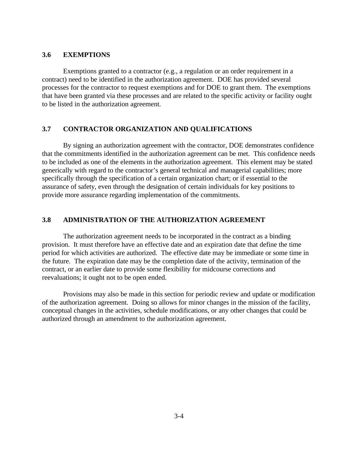#### <span id="page-14-0"></span>**3.6 EXEMPTIONS**

Exemptions granted to a contractor (e.g., a regulation or an order requirement in a contract) need to be identified in the authorization agreement. DOE has provided several processes for the contractor to request exemptions and for DOE to grant them. The exemptions that have been granted via these processes and are related to the specific activity or facility ought to be listed in the authorization agreement.

#### <span id="page-14-1"></span>**3.7 CONTRACTOR ORGANIZATION AND QUALIFICATIONS**

By signing an authorization agreement with the contractor, DOE demonstrates confidence that the commitments identified in the authorization agreement can be met. This confidence needs to be included as one of the elements in the authorization agreement. This element may be stated generically with regard to the contractor's general technical and managerial capabilities; more specifically through the specification of a certain organization chart; or if essential to the assurance of safety, even through the designation of certain individuals for key positions to provide more assurance regarding implementation of the commitments.

#### <span id="page-14-2"></span>**3.8 ADMINISTRATION OF THE AUTHORIZATION AGREEMENT**

The authorization agreement needs to be incorporated in the contract as a binding provision. It must therefore have an effective date and an expiration date that define the time period for which activities are authorized. The effective date may be immediate or some time in the future. The expiration date may be the completion date of the activity, termination of the contract, or an earlier date to provide some flexibility for midcourse corrections and reevaluations; it ought not to be open ended.

Provisions may also be made in this section for periodic review and update or modification of the authorization agreement. Doing so allows for minor changes in the mission of the facility, conceptual changes in the activities, schedule modifications, or any other changes that could be authorized through an amendment to the authorization agreement.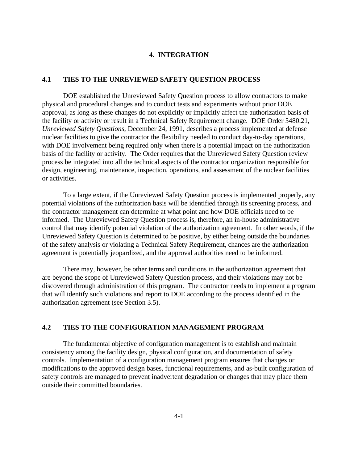#### **4. INTEGRATION**

#### <span id="page-15-1"></span><span id="page-15-0"></span>**4.1 TIES TO THE UNREVIEWED SAFETY QUESTION PROCESS**

DOE established the Unreviewed Safety Question process to allow contractors to make physical and procedural changes and to conduct tests and experiments without prior DOE approval, as long as these changes do not explicitly or implicitly affect the authorization basis of the facility or activity or result in a Technical Safety Requirement change. DOE Order 5480.21, *Unreviewed Safety Questions*, December 24, 1991*,* describes a process implemented at defense nuclear facilities to give the contractor the flexibility needed to conduct day-to-day operations, with DOE involvement being required only when there is a potential impact on the authorization basis of the facility or activity. The Order requires that the Unreviewed Safety Question review process be integrated into all the technical aspects of the contractor organization responsible for design, engineering, maintenance, inspection, operations, and assessment of the nuclear facilities or activities.

<span id="page-15-2"></span>To a large extent, if the Unreviewed Safety Question process is implemented properly, any potential violations of the authorization basis will be identified through its screening process, and the contractor management can determine at what point and how DOE officials need to be informed. The Unreviewed Safety Question process is, therefore, an in-house administrative control that may identify potential violation of the authorization agreement. In other words, if the Unreviewed Safety Question is determined to be positive, by either being outside the boundaries of the safety analysis or violating a Technical Safety Requirement, chances are the authorization agreement is potentially jeopardized, and the approval authorities need to be informed.

There may, however, be other terms and conditions in the authorization agreement that are beyond the scope of Unreviewed Safety Question process, and their violations may not be discovered through administration of this program. The contractor needs to implement a program that will identify such violations and report to DOE according to the process identified in the authorization agreement (see Section 3.5).

#### **4.2 TIES TO THE CONFIGURATION MANAGEMENT PROGRAM**

The fundamental objective of configuration management is to establish and maintain consistency among the facility design, physical configuration, and documentation of safety controls. Implementation of a configuration management program ensures that changes or modifications to the approved design bases, functional requirements, and as-built configuration of safety controls are managed to prevent inadvertent degradation or changes that may place them outside their committed boundaries.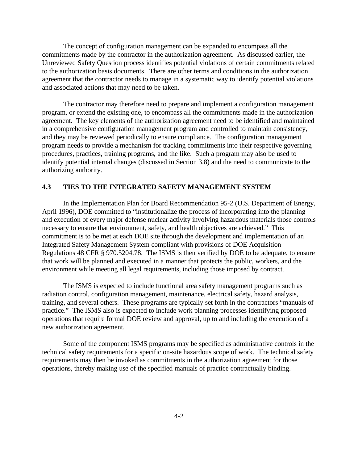The concept of configuration management can be expanded to encompass all the commitments made by the contractor in the authorization agreement. As discussed earlier, the Unreviewed Safety Question process identifies potential violations of certain commitments related to the authorization basis documents. There are other terms and conditions in the authorization agreement that the contractor needs to manage in a systematic way to identify potential violations and associated actions that may need to be taken.

The contractor may therefore need to prepare and implement a configuration management program, or extend the existing one, to encompass all the commitments made in the authorization agreement. The key elements of the authorization agreement need to be identified and maintained in a comprehensive configuration management program and controlled to maintain consistency, and they may be reviewed periodically to ensure compliance. The configuration management program needs to provide a mechanism for tracking commitments into their respective governing procedures, practices, training programs, and the like. Such a program may also be used to identify potential internal changes (discussed in Section 3.8) and the need to communicate to the authorizing authority.

#### <span id="page-16-0"></span>**4.3 TIES TO THE INTEGRATED SAFETY MANAGEMENT SYSTEM**

In the Implementation Plan for Board Recommendation 95-2 (U.S. Department of Energy, April 1996), DOE committed to "institutionalize the process of incorporating into the planning and execution of every major defense nuclear activity involving hazardous materials those controls necessary to ensure that environment, safety, and health objectives are achieved." This commitment is to be met at each DOE site through the development and implementation of an Integrated Safety Management System compliant with provisions of DOE Acquisition Regulations 48 CFR § 970.5204.78. The ISMS is then verified by DOE to be adequate, to ensure that work will be planned and executed in a manner that protects the public, workers, and the environment while meeting all legal requirements, including those imposed by contract.

The ISMS is expected to include functional area safety management programs such as radiation control, configuration management, maintenance, electrical safety, hazard analysis, training, and several others. These programs are typically set forth in the contractors "manuals of practice." The ISMS also is expected to include work planning processes identifying proposed operations that require formal DOE review and approval, up to and including the execution of a new authorization agreement.

Some of the component ISMS programs may be specified as administrative controls in the technical safety requirements for a specific on-site hazardous scope of work. The technical safety requirements may then be invoked as commitments in the authorization agreement for those operations, thereby making use of the specified manuals of practice contractually binding.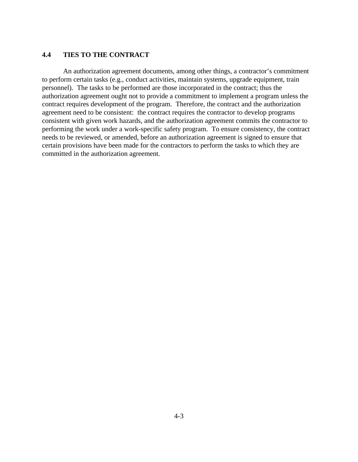#### <span id="page-17-0"></span>**4.4 TIES TO THE CONTRACT**

An authorization agreement documents, among other things, a contractor's commitment to perform certain tasks (e.g., conduct activities, maintain systems, upgrade equipment, train personnel). The tasks to be performed are those incorporated in the contract; thus the authorization agreement ought not to provide a commitment to implement a program unless the contract requires development of the program. Therefore, the contract and the authorization agreement need to be consistent: the contract requires the contractor to develop programs consistent with given work hazards, and the authorization agreement commits the contractor to performing the work under a work-specific safety program. To ensure consistency, the contract needs to be reviewed, or amended, before an authorization agreement is signed to ensure that certain provisions have been made for the contractors to perform the tasks to which they are committed in the authorization agreement.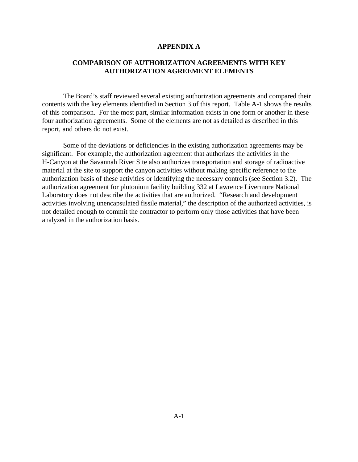#### **APPENDIX A**

#### <span id="page-18-0"></span>**COMPARISON OF AUTHORIZATION AGREEMENTS WITH KEY AUTHORIZATION AGREEMENT ELEMENTS**

The Board's staff reviewed several existing authorization agreements and compared their contents with the key elements identified in Section 3 of this report. Table A-1 shows the results of this comparison. For the most part, similar information exists in one form or another in these four authorization agreements. Some of the elements are not as detailed as described in this report, and others do not exist.

Some of the deviations or deficiencies in the existing authorization agreements may be significant. For example, the authorization agreement that authorizes the activities in the H-Canyon at the Savannah River Site also authorizes transportation and storage of radioactive material at the site to support the canyon activities without making specific reference to the authorization basis of these activities or identifying the necessary controls (see Section 3.2). The authorization agreement for plutonium facility building 332 at Lawrence Livermore National Laboratory does not describe the activities that are authorized. "Research and development activities involving unencapsulated fissile material," the description of the authorized activities, is not detailed enough to commit the contractor to perform only those activities that have been analyzed in the authorization basis.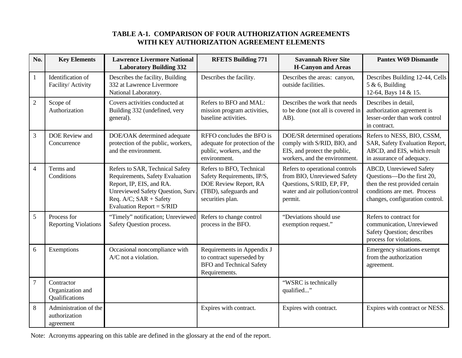#### **TABLE A-1. COMPARISON OF FOUR AUTHORIZATION AGREEMENTS WITH KEY AUTHORIZATION AGREEMENT ELEMENTS**

| No.            | <b>Key Elements</b>                                 | <b>Lawrence Livermore National</b><br><b>Laboratory Building 332</b>                                                                                                                         | <b>RFETS Building 771</b>                                                                                                    | <b>Savannah River Site</b><br><b>H-Canyon and Areas</b>                                                                                  | <b>Pantex W69 Dismantle</b>                                                                                                                                      |
|----------------|-----------------------------------------------------|----------------------------------------------------------------------------------------------------------------------------------------------------------------------------------------------|------------------------------------------------------------------------------------------------------------------------------|------------------------------------------------------------------------------------------------------------------------------------------|------------------------------------------------------------------------------------------------------------------------------------------------------------------|
| $\mathbf 1$    | Identification of<br>Facility/ Activity             | Describes the facility, Building<br>332 at Lawrence Livermore<br>National Laboratory.                                                                                                        | Describes the facility.                                                                                                      | Describes the areas: canyon,<br>outside facilities.                                                                                      | Describes Building 12-44, Cells<br>$5 & 6$ , Building<br>12-64, Bays 14 & 15.                                                                                    |
| $\sqrt{2}$     | Scope of<br>Authorization                           | Covers activities conducted at<br>Building 332 (undefined, very<br>general).                                                                                                                 | Refers to BFO and MAL:<br>mission program activities,<br>baseline activities.                                                | Describes the work that needs<br>to be done (not all is covered in<br>$AB$ ).                                                            | Describes in detail,<br>authorization agreement is<br>lesser-order than work control<br>in contract.                                                             |
| $\mathfrak{Z}$ | <b>DOE</b> Review and<br>Concurrence                | DOE/OAK determined adequate<br>protection of the public, workers,<br>and the environment.                                                                                                    | RFFO concludes the BFO is<br>adequate for protection of the<br>public, workers, and the<br>environment.                      | DOE/SR determined operations<br>comply with S/RID, BIO, and<br>EIS, and protect the public,<br>workers, and the environment.             | Refers to NESS, BIO, CSSM,<br>SAR, Safety Evaluation Report,<br>ABCD, and EIS, which result<br>in assurance of adequacy.                                         |
| $\overline{4}$ | Terms and<br>Conditions                             | Refers to SAR, Technical Safety<br>Requirements, Safety Evaluation<br>Report, IP, EIS, and RA.<br>Unreviewed Safety Question, Surv.<br>Req. A/C; SAR + Safety<br>Evaluation Report = $S/RID$ | Refers to BFO, Technical<br>Safety Requirements, IP/S,<br>DOE Review Report, RA<br>(TBD), safeguards and<br>securities plan. | Refers to operational controls<br>from BIO, Unreviewed Safety<br>Questions, S/RID, EP, FP,<br>water and air pollution/control<br>permit. | <b>ABCD, Unreviewed Safety</b><br>Questions-Do the first 20,<br>then the rest provided certain<br>conditions are met. Process<br>changes, configuration control. |
| 5              | Process for<br><b>Reporting Violations</b>          | "Timely" notification; Unreviewed<br>Safety Question process.                                                                                                                                | Refers to change control<br>process in the BFO.                                                                              | "Deviations should use<br>exemption request."                                                                                            | Refers to contract for<br>communication, Unreviewed<br>Safety Question; describes<br>process for violations.                                                     |
| 6              | Exemptions                                          | Occasional noncompliance with<br>A/C not a violation.                                                                                                                                        | Requirements in Appendix J<br>to contract superseded by<br><b>BFO</b> and Technical Safety<br>Requirements.                  |                                                                                                                                          | Emergency situations exempt<br>from the authorization<br>agreement.                                                                                              |
| $\overline{7}$ | Contractor<br>Organization and<br>Qualifications    |                                                                                                                                                                                              |                                                                                                                              | "WSRC is technically<br>qualified"                                                                                                       |                                                                                                                                                                  |
| 8              | Administration of the<br>authorization<br>agreement |                                                                                                                                                                                              | Expires with contract.                                                                                                       | Expires with contract.                                                                                                                   | Expires with contract or NESS.                                                                                                                                   |

Note: Acronyms appearing on this table are defined in the glossary at the end of the report.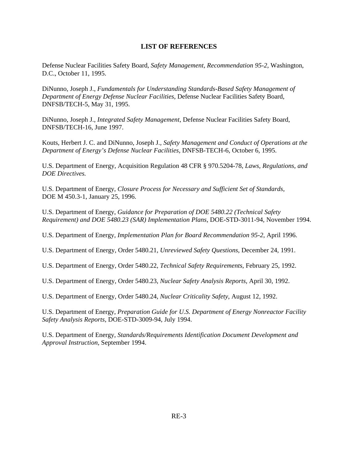#### **LIST OF REFERENCES**

<span id="page-20-0"></span>Defense Nuclear Facilities Safety Board, *Safety Management, Recommendation 95-2*, Washington, D.C., October 11, 1995.

DiNunno, Joseph J., *Fundamentals for Understanding Standards-Based Safety Management of Department of Energy Defense Nuclear Facilities*, Defense Nuclear Facilities Safety Board, DNFSB/TECH-5, May 31, 1995.

DiNunno, Joseph J., *Integrated Safety Management*, Defense Nuclear Facilities Safety Board, DNFSB/TECH-16, June 1997.

Kouts, Herbert J. C. and DiNunno, Joseph J.*, Safety Management and Conduct of Operations at the Department of Energy's Defense Nuclear Facilities*, DNFSB-TECH-6, October 6, 1995.

U.S. Department of Energy, Acquisition Regulation 48 CFR § 970.5204-78, *Laws, Regulations, and DOE Directives.*

U.S. Department of Energy, *Closure Process for Necessary and Sufficient Set of Standards*, DOE M 450.3-1, January 25, 1996.

U.S. Department of Energy, *Guidance for Preparation of DOE 5480.22 (Technical Safety Requirement) and DOE 5480.23 (SAR) Implementation Plans*, DOE-STD-3011-94, November 1994.

U.S. Department of Energy, *Implementation Plan for Board Recommendation 95-2*, April 1996.

U.S. Department of Energy, Order 5480.21, *Unreviewed Safety Questions*, December 24, 1991.

U.S. Department of Energy, Order 5480.22, *Technical Safety Requirements*, February 25, 1992.

U.S. Department of Energy, Order 5480.23, *Nuclear Safety Analysis Reports*, April 30, 1992.

U.S. Department of Energy, Order 5480.24, *Nuclear Criticality Safety*, August 12, 1992.

U.S. Department of Energy, *Preparation Guide for U.S. Department of Energy Nonreactor Facility Safety Analysis Reports*, DOE-STD-3009-94, July 1994.

U.S. Department of Energy, *Standards/Requirements Identification Document Development and Approval Instruction*, September 1994.